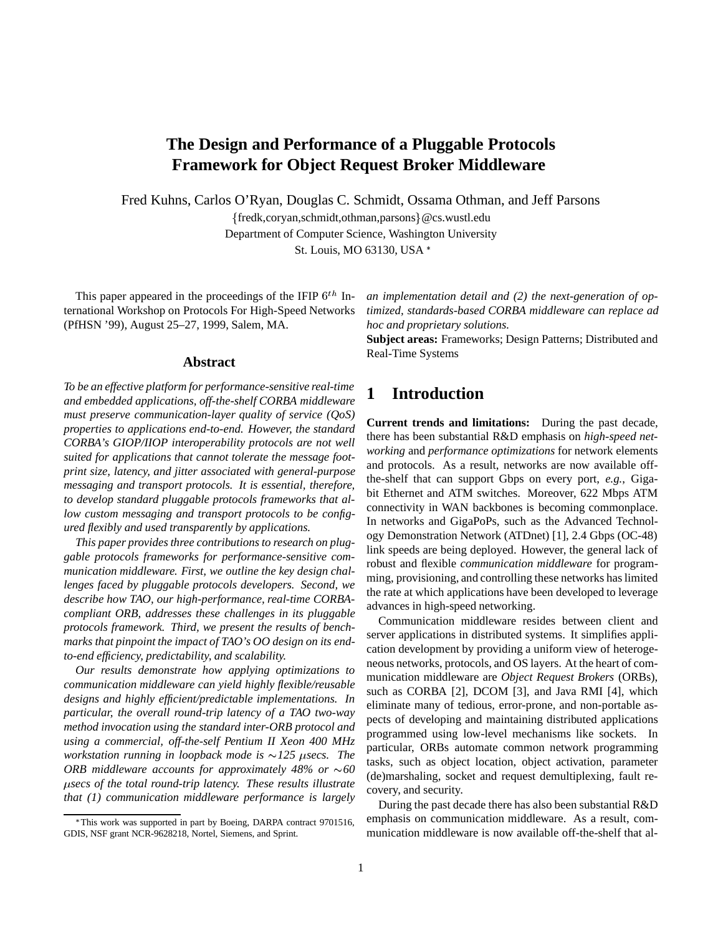# **The Design and Performance of a Pluggable Protocols Framework for Object Request Broker Middleware**

Fred Kuhns, Carlos O'Ryan, Douglas C. Schmidt, Ossama Othman, and Jeff Parsons

 $\{fredk, coryan, schmidt,othman, parsons\} @cs.wust.$ edu Department of Computer Science, Washington University St. Louis, MO 63130, USA

This paper appeared in the proceedings of the IFIP  $6^{th}$  International Workshop on Protocols For High-Speed Networks (PfHSN '99), August 25–27, 1999, Salem, MA.

#### **Abstract**

*To be an effective platform for performance-sensitive real-time and embedded applications, off-the-shelf CORBA middleware must preserve communication-layer quality of service (QoS) properties to applications end-to-end. However, the standard CORBA's GIOP/IIOP interoperability protocols are not well suited for applications that cannot tolerate the message footprint size, latency, and jitter associated with general-purpose messaging and transport protocols. It is essential, therefore, to develop standard pluggable protocols frameworks that allow custom messaging and transport protocols to be configured flexibly and used transparently by applications.*

*This paper provides three contributions to research on pluggable protocols frameworks for performance-sensitive communication middleware. First, we outline the key design challenges faced by pluggable protocols developers. Second, we describe how TAO, our high-performance, real-time CORBAcompliant ORB, addresses these challenges in its pluggable protocols framework. Third, we present the results of benchmarks that pinpoint the impact of TAO's OO design on its endto-end efficiency, predictability, and scalability.*

*Our results demonstrate how applying optimizations to communication middleware can yield highly flexible/reusable designs and highly efficient/predictable implementations. In particular, the overall round-trip latency of a TAO two-way method invocation using the standard inter-ORB protocol and using a commercial, off-the-self Pentium II Xeon 400 MHz workstation running in loopback mode is*  $\sim$ 125  $\mu$ *secs. The ORB middleware accounts for approximately 48% or*  $\sim 60$ *secs of the total round-trip latency. These results illustrate that (1) communication middleware performance is largely*

*an implementation detail and (2) the next-generation of optimized, standards-based CORBA middleware can replace ad hoc and proprietary solutions.*

**Subject areas:** Frameworks; Design Patterns; Distributed and Real-Time Systems

# **1 Introduction**

**Current trends and limitations:** During the past decade, there has been substantial R&D emphasis on *high-speed networking* and *performance optimizations* for network elements and protocols. As a result, networks are now available offthe-shelf that can support Gbps on every port, *e.g.*, Gigabit Ethernet and ATM switches. Moreover, 622 Mbps ATM connectivity in WAN backbones is becoming commonplace. In networks and GigaPoPs, such as the Advanced Technology Demonstration Network (ATDnet) [1], 2.4 Gbps (OC-48) link speeds are being deployed. However, the general lack of robust and flexible *communication middleware* for programming, provisioning, and controlling these networks has limited the rate at which applications have been developed to leverage advances in high-speed networking.

Communication middleware resides between client and server applications in distributed systems. It simplifies application development by providing a uniform view of heterogeneous networks, protocols, and OS layers. At the heart of communication middleware are *Object Request Brokers* (ORBs), such as CORBA [2], DCOM [3], and Java RMI [4], which eliminate many of tedious, error-prone, and non-portable aspects of developing and maintaining distributed applications programmed using low-level mechanisms like sockets. In particular, ORBs automate common network programming tasks, such as object location, object activation, parameter (de)marshaling, socket and request demultiplexing, fault recovery, and security.

During the past decade there has also been substantial R&D emphasis on communication middleware. As a result, communication middleware is now available off-the-shelf that al-

This work was supported in part by Boeing, DARPA contract 9701516, GDIS, NSF grant NCR-9628218, Nortel, Siemens, and Sprint.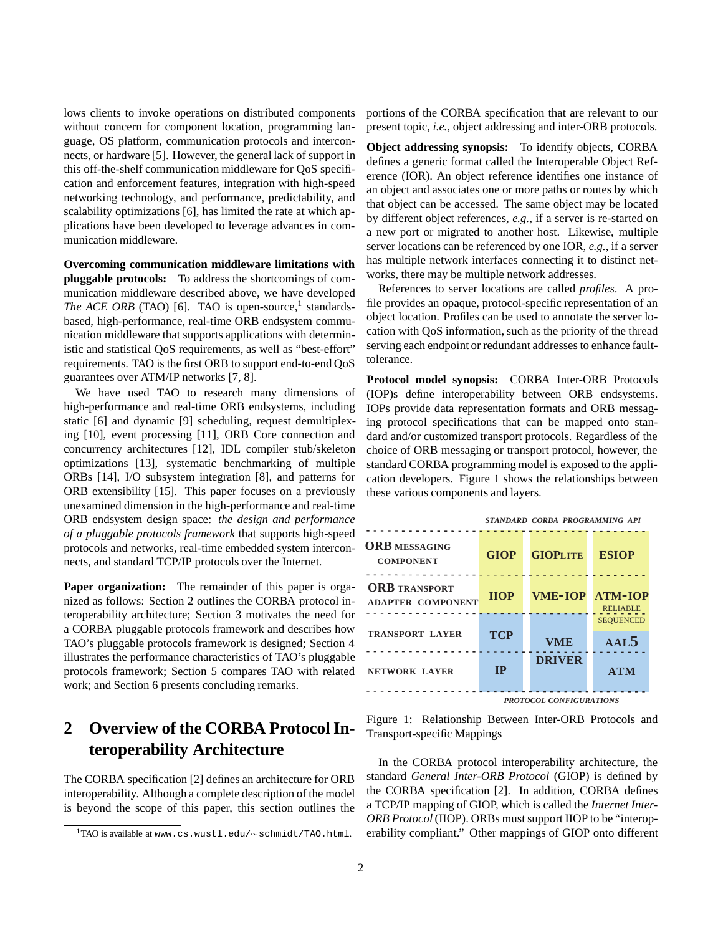lows clients to invoke operations on distributed components without concern for component location, programming language, OS platform, communication protocols and interconnects, or hardware [5]. However, the general lack of support in this off-the-shelf communication middleware for QoS specification and enforcement features, integration with high-speed networking technology, and performance, predictability, and scalability optimizations [6], has limited the rate at which applications have been developed to leverage advances in communication middleware.

**Overcoming communication middleware limitations with pluggable protocols:** To address the shortcomings of communication middleware described above, we have developed *The ACE ORB* (TAO) [6]. TAO is open-source,<sup>1</sup> standardsbased, high-performance, real-time ORB endsystem communication middleware that supports applications with deterministic and statistical QoS requirements, as well as "best-effort" requirements. TAO is the first ORB to support end-to-end QoS guarantees over ATM/IP networks [7, 8].

We have used TAO to research many dimensions of high-performance and real-time ORB endsystems, including static [6] and dynamic [9] scheduling, request demultiplexing [10], event processing [11], ORB Core connection and concurrency architectures [12], IDL compiler stub/skeleton optimizations [13], systematic benchmarking of multiple ORBs [14], I/O subsystem integration [8], and patterns for ORB extensibility [15]. This paper focuses on a previously unexamined dimension in the high-performance and real-time ORB endsystem design space: *the design and performance of a pluggable protocols framework* that supports high-speed protocols and networks, real-time embedded system interconnects, and standard TCP/IP protocols over the Internet.

**Paper organization:** The remainder of this paper is organized as follows: Section 2 outlines the CORBA protocol interoperability architecture; Section 3 motivates the need for a CORBA pluggable protocols framework and describes how TAO's pluggable protocols framework is designed; Section 4 illustrates the performance characteristics of TAO's pluggable protocols framework; Section 5 compares TAO with related work; and Section 6 presents concluding remarks.

# **2 Overview of the CORBA Protocol Interoperability Architecture**

The CORBA specification [2] defines an architecture for ORB interoperability. Although a complete description of the model is beyond the scope of this paper, this section outlines the portions of the CORBA specification that are relevant to our present topic, *i.e.*, object addressing and inter-ORB protocols.

**Object addressing synopsis:** To identify objects, CORBA defines a generic format called the Interoperable Object Reference (IOR). An object reference identifies one instance of an object and associates one or more paths or routes by which that object can be accessed. The same object may be located by different object references, *e.g.*, if a server is re-started on a new port or migrated to another host. Likewise, multiple server locations can be referenced by one IOR, *e.g.*, if a server has multiple network interfaces connecting it to distinct networks, there may be multiple network addresses.

References to server locations are called *profiles*. A profile provides an opaque, protocol-specific representation of an object location. Profiles can be used to annotate the server location with QoS information, such as the priority of the thread serving each endpoint or redundant addresses to enhance faulttolerance.

**Protocol model synopsis:** CORBA Inter-ORB Protocols (IOP)s define interoperability between ORB endsystems. IOPs provide data representation formats and ORB messaging protocol specifications that can be mapped onto standard and/or customized transport protocols. Regardless of the choice of ORB messaging or transport protocol, however, the standard CORBA programming model is exposed to the application developers. Figure 1 shows the relationships between these various components and layers.





In the CORBA protocol interoperability architecture, the standard *General Inter-ORB Protocol* (GIOP) is defined by the CORBA specification [2]. In addition, CORBA defines a TCP/IP mapping of GIOP, which is called the *Internet Inter-ORB Protocol* (IIOP). ORBs must support IIOP to be "interoperability compliant." Other mappings of GIOP onto different

 $^1$ TAO is available at www.cs.wustl.edu/ $\sim$ schmidt/TAO.html.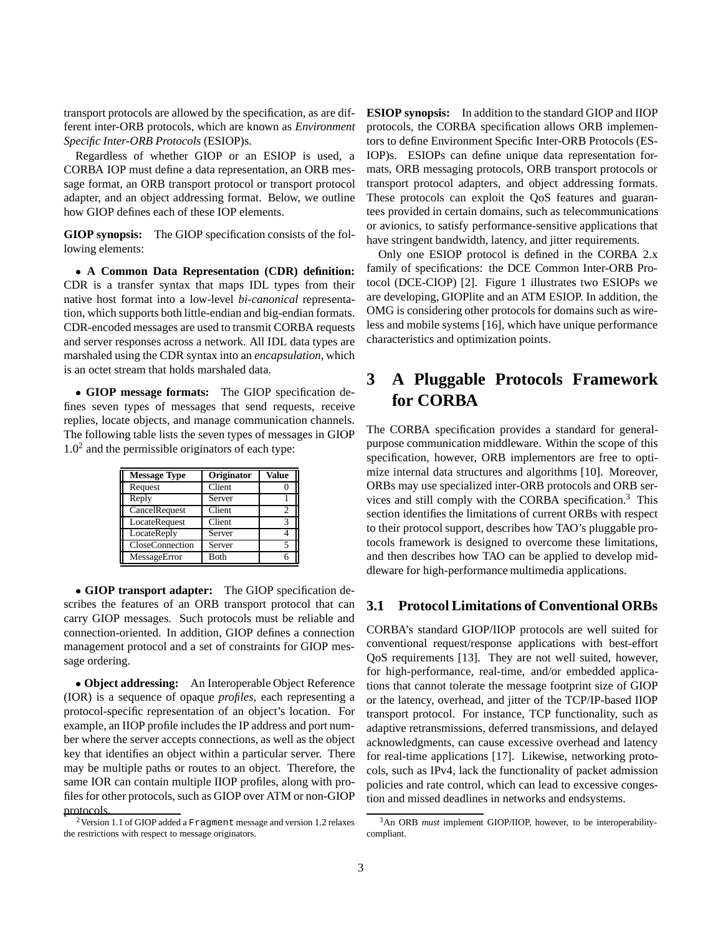transport protocols are allowed by the specification, as are different inter-ORB protocols, which are known as *Environment Specific Inter-ORB Protocols* (ESIOP)s.

Regardless of whether GIOP or an ESIOP is used, a CORBA IOP must define a data representation, an ORB message format, an ORB transport protocol or transport protocol adapter, and an object addressing format. Below, we outline how GIOP defines each of these IOP elements.

**GIOP synopsis:** The GIOP specification consists of the following elements:

 **A Common Data Representation (CDR) definition:** CDR is a transfer syntax that maps IDL types from their native host format into a low-level *bi-canonical* representation, which supports both little-endian and big-endian formats. CDR-encoded messages are used to transmit CORBA requests and server responses across a network. All IDL data types are marshaled using the CDR syntax into an *encapsulation*, which is an octet stream that holds marshaled data.

 **GIOP message formats:** The GIOP specification defines seven types of messages that send requests, receive replies, locate objects, and manage communication channels. The following table lists the seven types of messages in GIOP  $1.0<sup>2</sup>$  and the permissible originators of each type:

| <b>Message Type</b> | Originator | Value |
|---------------------|------------|-------|
| Request             | Client     |       |
| Reply               | Server     |       |
| CancelRequest       | Client     |       |
| LocateRequest       | Client     | 3     |
| LocateReply         | Server     |       |
| CloseConnection     | Server     | 5     |
| MessageError        | Both       |       |

 **GIOP transport adapter:** The GIOP specification describes the features of an ORB transport protocol that can carry GIOP messages. Such protocols must be reliable and connection-oriented. In addition, GIOP defines a connection management protocol and a set of constraints for GIOP message ordering.

 **Object addressing:** An Interoperable Object Reference (IOR) is a sequence of opaque *profiles*, each representing a protocol-specific representation of an object's location. For example, an IIOP profile includes the IP address and port number where the server accepts connections, as well as the object key that identifies an object within a particular server. There may be multiple paths or routes to an object. Therefore, the same IOR can contain multiple IIOP profiles, along with profiles for other protocols, such as GIOP over ATM or non-GIOP protocols.

**ESIOP synopsis:** In addition to the standard GIOP and IIOP protocols, the CORBA specification allows ORB implementors to define Environment Specific Inter-ORB Protocols (ES-IOP)s. ESIOPs can define unique data representation formats, ORB messaging protocols, ORB transport protocols or transport protocol adapters, and object addressing formats. These protocols can exploit the QoS features and guarantees provided in certain domains, such as telecommunications or avionics, to satisfy performance-sensitive applications that have stringent bandwidth, latency, and jitter requirements.

Only one ESIOP protocol is defined in the CORBA 2.x family of specifications: the DCE Common Inter-ORB Protocol (DCE-CIOP) [2]. Figure 1 illustrates two ESIOPs we are developing, GIOPlite and an ATM ESIOP. In addition, the OMG is considering other protocols for domains such as wireless and mobile systems [16], which have unique performance characteristics and optimization points.

# **3 A Pluggable Protocols Framework for CORBA**

The CORBA specification provides a standard for generalpurpose communication middleware. Within the scope of this specification, however, ORB implementors are free to optimize internal data structures and algorithms [10]. Moreover, ORBs may use specialized inter-ORB protocols and ORB services and still comply with the CORBA specification.3 This section identifies the limitations of current ORBs with respect to their protocol support, describes how TAO's pluggable protocols framework is designed to overcome these limitations, and then describes how TAO can be applied to develop middleware for high-performance multimedia applications.

### **3.1 Protocol Limitations of Conventional ORBs**

CORBA's standard GIOP/IIOP protocols are well suited for conventional request/response applications with best-effort QoS requirements [13]. They are not well suited, however, for high-performance, real-time, and/or embedded applications that cannot tolerate the message footprint size of GIOP or the latency, overhead, and jitter of the TCP/IP-based IIOP transport protocol. For instance, TCP functionality, such as adaptive retransmissions, deferred transmissions, and delayed acknowledgments, can cause excessive overhead and latency for real-time applications [17]. Likewise, networking protocols, such as IPv4, lack the functionality of packet admission policies and rate control, which can lead to excessive congestion and missed deadlines in networks and endsystems.

<sup>&</sup>lt;sup>2</sup>Version 1.1 of GIOP added a Fragment message and version 1.2 relaxes the restrictions with respect to message originators.

<sup>3</sup>An ORB *must* implement GIOP/IIOP, however, to be interoperabilitycompliant.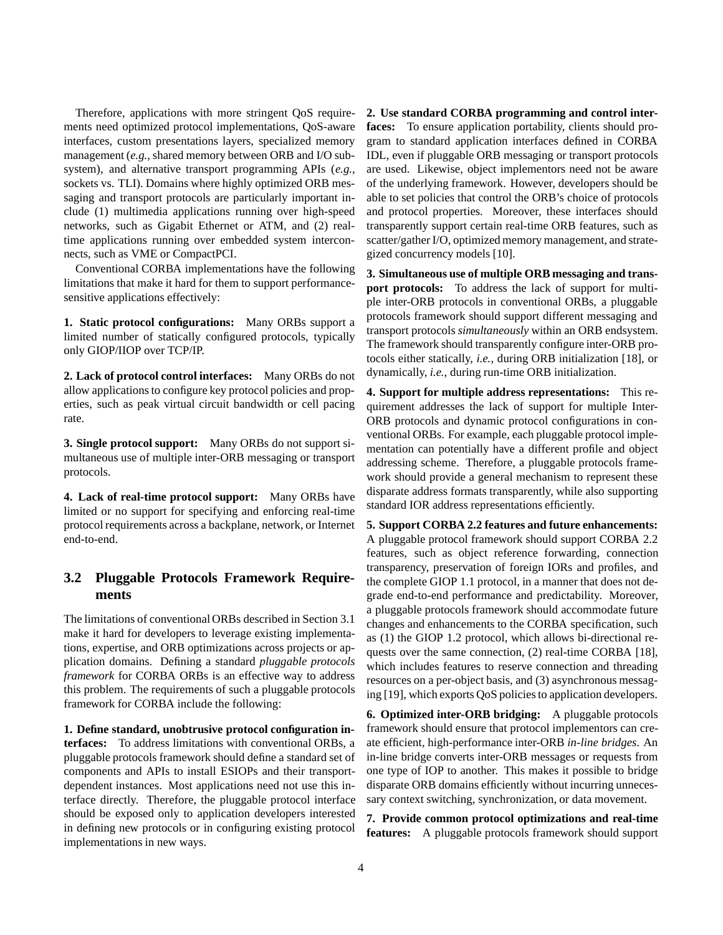Therefore, applications with more stringent QoS requirements need optimized protocol implementations, QoS-aware interfaces, custom presentations layers, specialized memory management (*e.g.*, shared memory between ORB and I/O subsystem), and alternative transport programming APIs (*e.g.*, sockets vs. TLI). Domains where highly optimized ORB messaging and transport protocols are particularly important include (1) multimedia applications running over high-speed networks, such as Gigabit Ethernet or ATM, and (2) realtime applications running over embedded system interconnects, such as VME or CompactPCI.

Conventional CORBA implementations have the following limitations that make it hard for them to support performancesensitive applications effectively:

**1. Static protocol configurations:** Many ORBs support a limited number of statically configured protocols, typically only GIOP/IIOP over TCP/IP.

**2. Lack of protocol control interfaces:** Many ORBs do not allow applications to configure key protocol policies and properties, such as peak virtual circuit bandwidth or cell pacing rate.

**3. Single protocol support:** Many ORBs do not support simultaneous use of multiple inter-ORB messaging or transport protocols.

**4. Lack of real-time protocol support:** Many ORBs have limited or no support for specifying and enforcing real-time protocol requirements across a backplane, network, or Internet end-to-end.

## **3.2 Pluggable Protocols Framework Requirements**

The limitations of conventional ORBs described in Section 3.1 make it hard for developers to leverage existing implementations, expertise, and ORB optimizations across projects or application domains. Defining a standard *pluggable protocols framework* for CORBA ORBs is an effective way to address this problem. The requirements of such a pluggable protocols framework for CORBA include the following:

**1. Define standard, unobtrusive protocol configuration interfaces:** To address limitations with conventional ORBs, a pluggable protocols framework should define a standard set of components and APIs to install ESIOPs and their transportdependent instances. Most applications need not use this interface directly. Therefore, the pluggable protocol interface should be exposed only to application developers interested in defining new protocols or in configuring existing protocol implementations in new ways.

**2. Use standard CORBA programming and control interfaces:** To ensure application portability, clients should program to standard application interfaces defined in CORBA IDL, even if pluggable ORB messaging or transport protocols are used. Likewise, object implementors need not be aware of the underlying framework. However, developers should be able to set policies that control the ORB's choice of protocols and protocol properties. Moreover, these interfaces should transparently support certain real-time ORB features, such as scatter/gather I/O, optimized memory management, and strategized concurrency models [10].

**3. Simultaneous use of multiple ORB messaging and transport protocols:** To address the lack of support for multiple inter-ORB protocols in conventional ORBs, a pluggable protocols framework should support different messaging and transport protocols *simultaneously* within an ORB endsystem. The framework should transparently configure inter-ORB protocols either statically, *i.e.*, during ORB initialization [18], or dynamically, *i.e.*, during run-time ORB initialization.

**4. Support for multiple address representations:** This requirement addresses the lack of support for multiple Inter-ORB protocols and dynamic protocol configurations in conventional ORBs. For example, each pluggable protocol implementation can potentially have a different profile and object addressing scheme. Therefore, a pluggable protocols framework should provide a general mechanism to represent these disparate address formats transparently, while also supporting standard IOR address representations efficiently.

**5. Support CORBA 2.2 features and future enhancements:** A pluggable protocol framework should support CORBA 2.2 features, such as object reference forwarding, connection transparency, preservation of foreign IORs and profiles, and the complete GIOP 1.1 protocol, in a manner that does not degrade end-to-end performance and predictability. Moreover, a pluggable protocols framework should accommodate future changes and enhancements to the CORBA specification, such as (1) the GIOP 1.2 protocol, which allows bi-directional requests over the same connection, (2) real-time CORBA [18], which includes features to reserve connection and threading resources on a per-object basis, and (3) asynchronous messaging [19], which exports QoS policies to application developers.

**6. Optimized inter-ORB bridging:** A pluggable protocols framework should ensure that protocol implementors can create efficient, high-performance inter-ORB *in-line bridges*. An in-line bridge converts inter-ORB messages or requests from one type of IOP to another. This makes it possible to bridge disparate ORB domains efficiently without incurring unnecessary context switching, synchronization, or data movement.

**7. Provide common protocol optimizations and real-time features:** A pluggable protocols framework should support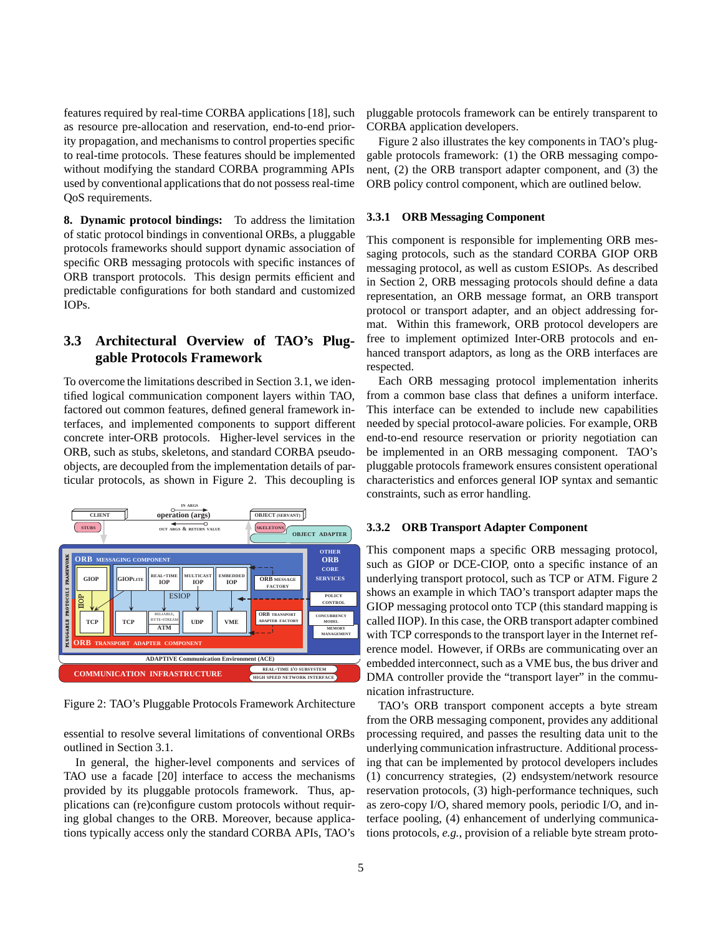features required by real-time CORBA applications [18], such as resource pre-allocation and reservation, end-to-end priority propagation, and mechanisms to control properties specific to real-time protocols. These features should be implemented without modifying the standard CORBA programming APIs used by conventional applications that do not possess real-time QoS requirements.

**8. Dynamic protocol bindings:** To address the limitation of static protocol bindings in conventional ORBs, a pluggable protocols frameworks should support dynamic association of specific ORB messaging protocols with specific instances of ORB transport protocols. This design permits efficient and predictable configurations for both standard and customized IOPs.

## **3.3 Architectural Overview of TAO's Pluggable Protocols Framework**

To overcome the limitations described in Section 3.1, we identified logical communication component layers within TAO, factored out common features, defined general framework interfaces, and implemented components to support different concrete inter-ORB protocols. Higher-level services in the ORB, such as stubs, skeletons, and standard CORBA pseudoobjects, are decoupled from the implementation details of particular protocols, as shown in Figure 2. This decoupling is



Figure 2: TAO's Pluggable Protocols Framework Architecture

essential to resolve several limitations of conventional ORBs outlined in Section 3.1.

In general, the higher-level components and services of TAO use a facade [20] interface to access the mechanisms provided by its pluggable protocols framework. Thus, applications can (re)configure custom protocols without requiring global changes to the ORB. Moreover, because applications typically access only the standard CORBA APIs, TAO's pluggable protocols framework can be entirely transparent to CORBA application developers.

Figure 2 also illustrates the key components in TAO's pluggable protocols framework: (1) the ORB messaging component, (2) the ORB transport adapter component, and (3) the ORB policy control component, which are outlined below.

### **3.3.1 ORB Messaging Component**

This component is responsible for implementing ORB messaging protocols, such as the standard CORBA GIOP ORB messaging protocol, as well as custom ESIOPs. As described in Section 2, ORB messaging protocols should define a data representation, an ORB message format, an ORB transport protocol or transport adapter, and an object addressing format. Within this framework, ORB protocol developers are free to implement optimized Inter-ORB protocols and enhanced transport adaptors, as long as the ORB interfaces are respected.

Each ORB messaging protocol implementation inherits from a common base class that defines a uniform interface. This interface can be extended to include new capabilities needed by special protocol-aware policies. For example, ORB end-to-end resource reservation or priority negotiation can be implemented in an ORB messaging component. TAO's pluggable protocols framework ensures consistent operational characteristics and enforces general IOP syntax and semantic constraints, such as error handling.

#### **3.3.2 ORB Transport Adapter Component**

This component maps a specific ORB messaging protocol, such as GIOP or DCE-CIOP, onto a specific instance of an underlying transport protocol, such as TCP or ATM. Figure 2 shows an example in which TAO's transport adapter maps the GIOP messaging protocol onto TCP (this standard mapping is called IIOP). In this case, the ORB transport adapter combined with TCP corresponds to the transport layer in the Internet reference model. However, if ORBs are communicating over an embedded interconnect, such as a VME bus, the bus driver and DMA controller provide the "transport layer" in the communication infrastructure.

TAO's ORB transport component accepts a byte stream from the ORB messaging component, provides any additional processing required, and passes the resulting data unit to the underlying communication infrastructure. Additional processing that can be implemented by protocol developers includes (1) concurrency strategies, (2) endsystem/network resource reservation protocols, (3) high-performance techniques, such as zero-copy I/O, shared memory pools, periodic I/O, and interface pooling, (4) enhancement of underlying communications protocols, *e.g.*, provision of a reliable byte stream proto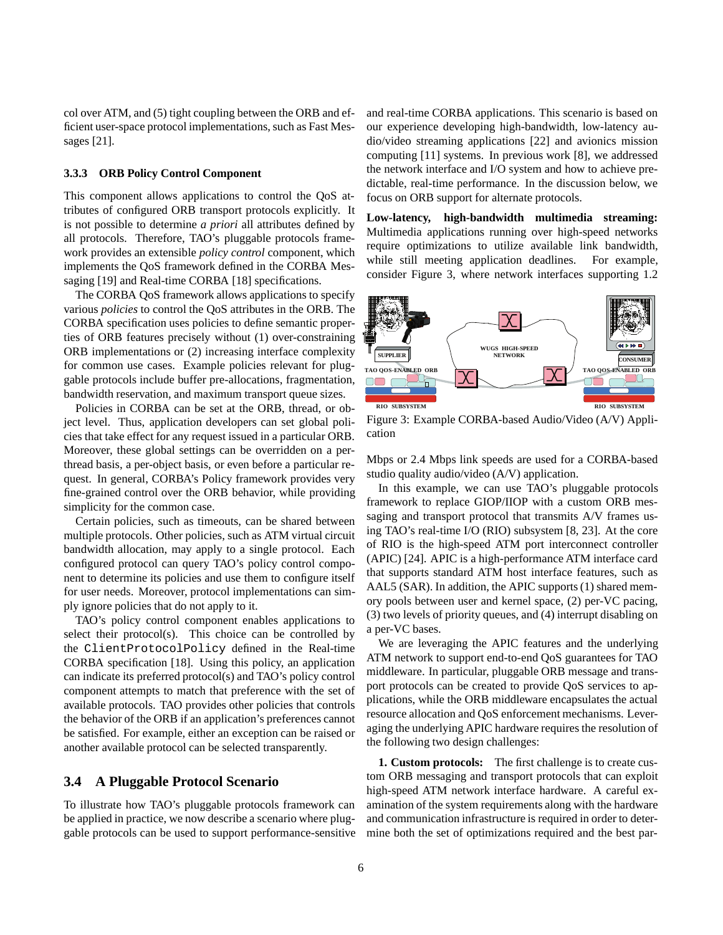col over ATM, and (5) tight coupling between the ORB and efficient user-space protocol implementations, such as Fast Messages [21].

### **3.3.3 ORB Policy Control Component**

This component allows applications to control the QoS attributes of configured ORB transport protocols explicitly. It is not possible to determine *a priori* all attributes defined by all protocols. Therefore, TAO's pluggable protocols framework provides an extensible *policy control* component, which implements the QoS framework defined in the CORBA Messaging [19] and Real-time CORBA [18] specifications.

The CORBA QoS framework allows applications to specify various *policies* to control the QoS attributes in the ORB. The CORBA specification uses policies to define semantic properties of ORB features precisely without (1) over-constraining ORB implementations or (2) increasing interface complexity for common use cases. Example policies relevant for pluggable protocols include buffer pre-allocations, fragmentation, bandwidth reservation, and maximum transport queue sizes.

Policies in CORBA can be set at the ORB, thread, or object level. Thus, application developers can set global policies that take effect for any request issued in a particular ORB. Moreover, these global settings can be overridden on a perthread basis, a per-object basis, or even before a particular request. In general, CORBA's Policy framework provides very fine-grained control over the ORB behavior, while providing simplicity for the common case.

Certain policies, such as timeouts, can be shared between multiple protocols. Other policies, such as ATM virtual circuit bandwidth allocation, may apply to a single protocol. Each configured protocol can query TAO's policy control component to determine its policies and use them to configure itself for user needs. Moreover, protocol implementations can simply ignore policies that do not apply to it.

TAO's policy control component enables applications to select their protocol(s). This choice can be controlled by the ClientProtocolPolicy defined in the Real-time CORBA specification [18]. Using this policy, an application can indicate its preferred protocol(s) and TAO's policy control component attempts to match that preference with the set of available protocols. TAO provides other policies that controls the behavior of the ORB if an application's preferences cannot be satisfied. For example, either an exception can be raised or another available protocol can be selected transparently.

### **3.4 A Pluggable Protocol Scenario**

To illustrate how TAO's pluggable protocols framework can be applied in practice, we now describe a scenario where pluggable protocols can be used to support performance-sensitive and real-time CORBA applications. This scenario is based on our experience developing high-bandwidth, low-latency audio/video streaming applications [22] and avionics mission computing [11] systems. In previous work [8], we addressed the network interface and I/O system and how to achieve predictable, real-time performance. In the discussion below, we focus on ORB support for alternate protocols.

**Low-latency, high-bandwidth multimedia streaming:** Multimedia applications running over high-speed networks require optimizations to utilize available link bandwidth, while still meeting application deadlines. For example, consider Figure 3, where network interfaces supporting 1.2



Figure 3: Example CORBA-based Audio/Video (A/V) Application

Mbps or 2.4 Mbps link speeds are used for a CORBA-based studio quality audio/video (A/V) application.

In this example, we can use TAO's pluggable protocols framework to replace GIOP/IIOP with a custom ORB messaging and transport protocol that transmits A/V frames using TAO's real-time I/O (RIO) subsystem [8, 23]. At the core of RIO is the high-speed ATM port interconnect controller (APIC) [24]. APIC is a high-performance ATM interface card that supports standard ATM host interface features, such as AAL5 (SAR). In addition, the APIC supports (1) shared memory pools between user and kernel space, (2) per-VC pacing, (3) two levels of priority queues, and (4) interrupt disabling on a per-VC bases.

We are leveraging the APIC features and the underlying ATM network to support end-to-end QoS guarantees for TAO middleware. In particular, pluggable ORB message and transport protocols can be created to provide QoS services to applications, while the ORB middleware encapsulates the actual resource allocation and QoS enforcement mechanisms. Leveraging the underlying APIC hardware requires the resolution of the following two design challenges:

**1. Custom protocols:** The first challenge is to create custom ORB messaging and transport protocols that can exploit high-speed ATM network interface hardware. A careful examination of the system requirements along with the hardware and communication infrastructure is required in order to determine both the set of optimizations required and the best par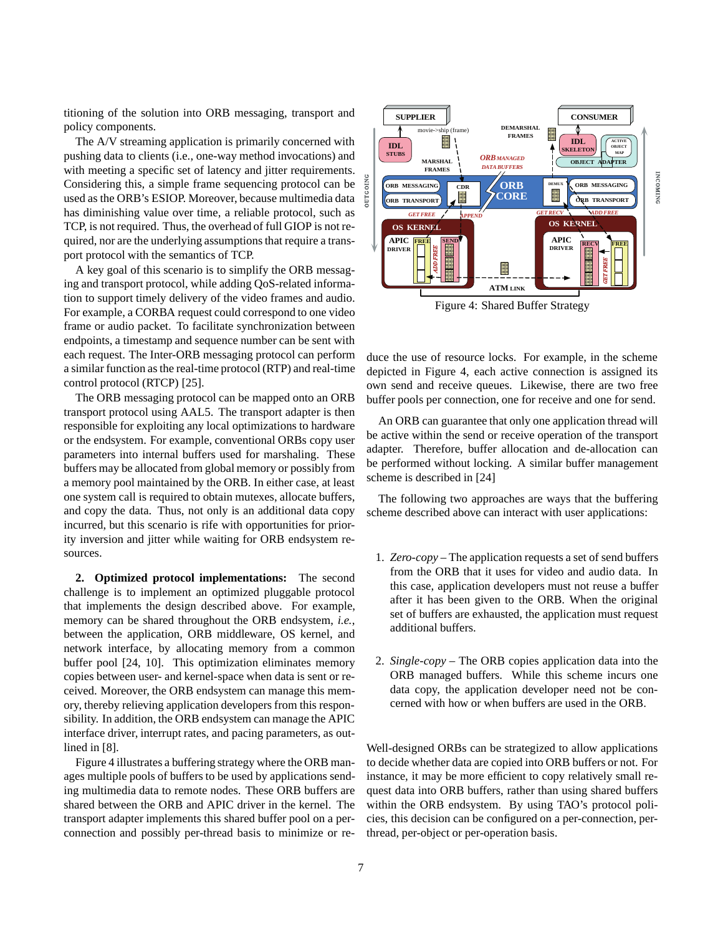titioning of the solution into ORB messaging, transport and policy components.

The A/V streaming application is primarily concerned with pushing data to clients (i.e., one-way method invocations) and with meeting a specific set of latency and jitter requirements. Considering this, a simple frame sequencing protocol can be used as the ORB's ESIOP. Moreover, because multimedia data has diminishing value over time, a reliable protocol, such as TCP, is not required. Thus, the overhead of full GIOP is not required, nor are the underlying assumptions that require a transport protocol with the semantics of TCP.

A key goal of this scenario is to simplify the ORB messaging and transport protocol, while adding QoS-related information to support timely delivery of the video frames and audio. For example, a CORBA request could correspond to one video frame or audio packet. To facilitate synchronization between endpoints, a timestamp and sequence number can be sent with each request. The Inter-ORB messaging protocol can perform a similar function as the real-time protocol (RTP) and real-time control protocol (RTCP) [25].

The ORB messaging protocol can be mapped onto an ORB transport protocol using AAL5. The transport adapter is then responsible for exploiting any local optimizations to hardware or the endsystem. For example, conventional ORBs copy user parameters into internal buffers used for marshaling. These buffers may be allocated from global memory or possibly from a memory pool maintained by the ORB. In either case, at least one system call is required to obtain mutexes, allocate buffers, and copy the data. Thus, not only is an additional data copy incurred, but this scenario is rife with opportunities for priority inversion and jitter while waiting for ORB endsystem resources.

**2. Optimized protocol implementations:** The second challenge is to implement an optimized pluggable protocol that implements the design described above. For example, memory can be shared throughout the ORB endsystem, *i.e.*, between the application, ORB middleware, OS kernel, and network interface, by allocating memory from a common buffer pool [24, 10]. This optimization eliminates memory copies between user- and kernel-space when data is sent or received. Moreover, the ORB endsystem can manage this memory, thereby relieving application developers from this responsibility. In addition, the ORB endsystem can manage the APIC interface driver, interrupt rates, and pacing parameters, as outlined in [8].

Figure 4 illustrates a buffering strategy where the ORB manages multiple pools of buffers to be used by applications sending multimedia data to remote nodes. These ORB buffers are shared between the ORB and APIC driver in the kernel. The transport adapter implements this shared buffer pool on a perconnection and possibly per-thread basis to minimize or re-



Figure 4: Shared Buffer Strategy

duce the use of resource locks. For example, in the scheme depicted in Figure 4, each active connection is assigned its own send and receive queues. Likewise, there are two free buffer pools per connection, one for receive and one for send.

An ORB can guarantee that only one application thread will be active within the send or receive operation of the transport adapter. Therefore, buffer allocation and de-allocation can be performed without locking. A similar buffer management scheme is described in [24]

The following two approaches are ways that the buffering scheme described above can interact with user applications:

- 1. *Zero-copy* The application requests a set of send buffers from the ORB that it uses for video and audio data. In this case, application developers must not reuse a buffer after it has been given to the ORB. When the original set of buffers are exhausted, the application must request additional buffers.
- 2. *Single-copy* The ORB copies application data into the ORB managed buffers. While this scheme incurs one data copy, the application developer need not be concerned with how or when buffers are used in the ORB.

Well-designed ORBs can be strategized to allow applications to decide whether data are copied into ORB buffers or not. For instance, it may be more efficient to copy relatively small request data into ORB buffers, rather than using shared buffers within the ORB endsystem. By using TAO's protocol policies, this decision can be configured on a per-connection, perthread, per-object or per-operation basis.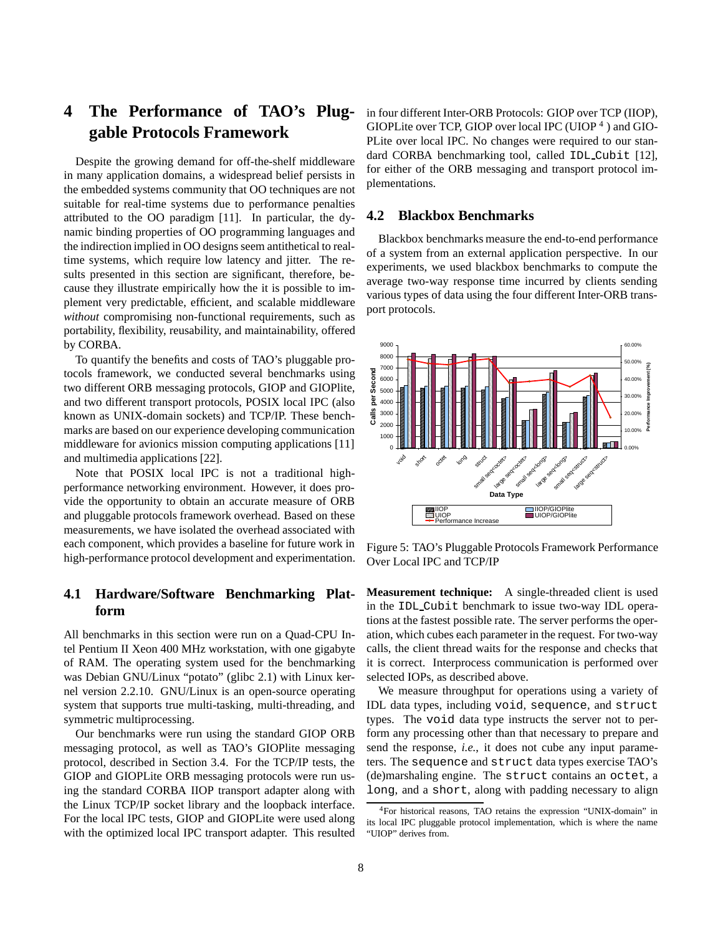# **4 The Performance of TAO's Pluggable Protocols Framework**

Despite the growing demand for off-the-shelf middleware in many application domains, a widespread belief persists in the embedded systems community that OO techniques are not suitable for real-time systems due to performance penalties attributed to the OO paradigm [11]. In particular, the dynamic binding properties of OO programming languages and the indirection implied in OO designs seem antithetical to realtime systems, which require low latency and jitter. The results presented in this section are significant, therefore, because they illustrate empirically how the it is possible to implement very predictable, efficient, and scalable middleware *without* compromising non-functional requirements, such as portability, flexibility, reusability, and maintainability, offered by CORBA.

To quantify the benefits and costs of TAO's pluggable protocols framework, we conducted several benchmarks using two different ORB messaging protocols, GIOP and GIOPlite, and two different transport protocols, POSIX local IPC (also known as UNIX-domain sockets) and TCP/IP. These benchmarks are based on our experience developing communication middleware for avionics mission computing applications [11] and multimedia applications [22].

Note that POSIX local IPC is not a traditional highperformance networking environment. However, it does provide the opportunity to obtain an accurate measure of ORB and pluggable protocols framework overhead. Based on these measurements, we have isolated the overhead associated with each component, which provides a baseline for future work in high-performance protocol development and experimentation.

## **4.1 Hardware/Software Benchmarking Platform**

All benchmarks in this section were run on a Quad-CPU Intel Pentium II Xeon 400 MHz workstation, with one gigabyte of RAM. The operating system used for the benchmarking was Debian GNU/Linux "potato" (glibc 2.1) with Linux kernel version 2.2.10. GNU/Linux is an open-source operating system that supports true multi-tasking, multi-threading, and symmetric multiprocessing.

Our benchmarks were run using the standard GIOP ORB messaging protocol, as well as TAO's GIOPlite messaging protocol, described in Section 3.4. For the TCP/IP tests, the GIOP and GIOPLite ORB messaging protocols were run using the standard CORBA IIOP transport adapter along with the Linux TCP/IP socket library and the loopback interface. For the local IPC tests, GIOP and GIOPLite were used along with the optimized local IPC transport adapter. This resulted in four different Inter-ORB Protocols: GIOP over TCP (IIOP), GIOPLite over TCP, GIOP over local IPC (UIOP <sup>4</sup> ) and GIO-PLite over local IPC. No changes were required to our standard CORBA benchmarking tool, called IDL Cubit [12], for either of the ORB messaging and transport protocol implementations.

### **4.2 Blackbox Benchmarks**

Blackbox benchmarks measure the end-to-end performance of a system from an external application perspective. In our experiments, we used blackbox benchmarks to compute the average two-way response time incurred by clients sending various types of data using the four different Inter-ORB transport protocols.



Figure 5: TAO's Pluggable Protocols Framework Performance Over Local IPC and TCP/IP

**Measurement technique:** A single-threaded client is used in the IDL Cubit benchmark to issue two-way IDL operations at the fastest possible rate. The server performs the operation, which cubes each parameter in the request. For two-way calls, the client thread waits for the response and checks that it is correct. Interprocess communication is performed over selected IOPs, as described above.

We measure throughput for operations using a variety of IDL data types, including void, sequence, and struct types. The void data type instructs the server not to perform any processing other than that necessary to prepare and send the response, *i.e.*, it does not cube any input parameters. The sequence and struct data types exercise TAO's (de)marshaling engine. The struct contains an octet, a long, and a short, along with padding necessary to align

<sup>4</sup>For historical reasons, TAO retains the expression "UNIX-domain" in its local IPC pluggable protocol implementation, which is where the name "UIOP" derives from.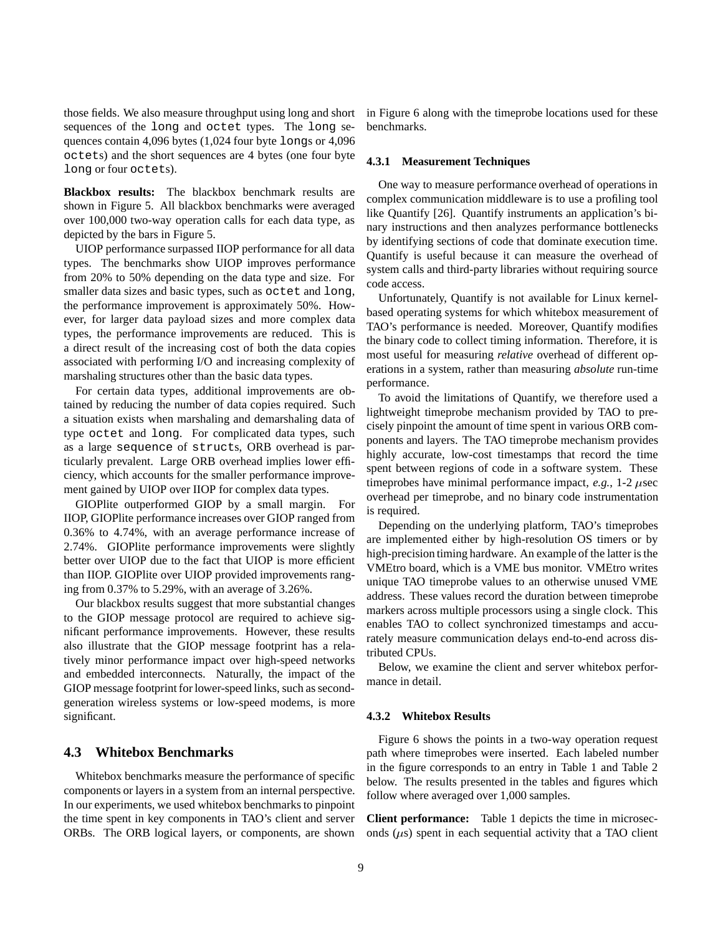those fields. We also measure throughput using long and short sequences of the long and octet types. The long sequences contain 4,096 bytes (1,024 four byte longs or 4,096 octets) and the short sequences are 4 bytes (one four byte long or four octets).

**Blackbox results:** The blackbox benchmark results are shown in Figure 5. All blackbox benchmarks were averaged over 100,000 two-way operation calls for each data type, as depicted by the bars in Figure 5.

UIOP performance surpassed IIOP performance for all data types. The benchmarks show UIOP improves performance from 20% to 50% depending on the data type and size. For smaller data sizes and basic types, such as octet and long, the performance improvement is approximately 50%. However, for larger data payload sizes and more complex data types, the performance improvements are reduced. This is a direct result of the increasing cost of both the data copies associated with performing I/O and increasing complexity of marshaling structures other than the basic data types.

For certain data types, additional improvements are obtained by reducing the number of data copies required. Such a situation exists when marshaling and demarshaling data of type octet and long. For complicated data types, such as a large sequence of structs, ORB overhead is particularly prevalent. Large ORB overhead implies lower efficiency, which accounts for the smaller performance improvement gained by UIOP over IIOP for complex data types.

GIOPlite outperformed GIOP by a small margin. For IIOP, GIOPlite performance increases over GIOP ranged from 0.36% to 4.74%, with an average performance increase of 2.74%. GIOPlite performance improvements were slightly better over UIOP due to the fact that UIOP is more efficient than IIOP. GIOPlite over UIOP provided improvements ranging from 0.37% to 5.29%, with an average of 3.26%.

Our blackbox results suggest that more substantial changes to the GIOP message protocol are required to achieve significant performance improvements. However, these results also illustrate that the GIOP message footprint has a relatively minor performance impact over high-speed networks and embedded interconnects. Naturally, the impact of the GIOP message footprint for lower-speed links, such as secondgeneration wireless systems or low-speed modems, is more significant.

### **4.3 Whitebox Benchmarks**

Whitebox benchmarks measure the performance of specific components or layers in a system from an internal perspective. In our experiments, we used whitebox benchmarks to pinpoint the time spent in key components in TAO's client and server ORBs. The ORB logical layers, or components, are shown in Figure 6 along with the timeprobe locations used for these benchmarks.

#### **4.3.1 Measurement Techniques**

One way to measure performance overhead of operations in complex communication middleware is to use a profiling tool like Quantify [26]. Quantify instruments an application's binary instructions and then analyzes performance bottlenecks by identifying sections of code that dominate execution time. Quantify is useful because it can measure the overhead of system calls and third-party libraries without requiring source code access.

Unfortunately, Quantify is not available for Linux kernelbased operating systems for which whitebox measurement of TAO's performance is needed. Moreover, Quantify modifies the binary code to collect timing information. Therefore, it is most useful for measuring *relative* overhead of different operations in a system, rather than measuring *absolute* run-time performance.

To avoid the limitations of Quantify, we therefore used a lightweight timeprobe mechanism provided by TAO to precisely pinpoint the amount of time spent in various ORB components and layers. The TAO timeprobe mechanism provides highly accurate, low-cost timestamps that record the time spent between regions of code in a software system. These timeprobes have minimal performance impact,  $e.g., 1-2$  usec overhead per timeprobe, and no binary code instrumentation is required.

Depending on the underlying platform, TAO's timeprobes are implemented either by high-resolution OS timers or by high-precision timing hardware. An example of the latter is the VMEtro board, which is a VME bus monitor. VMEtro writes unique TAO timeprobe values to an otherwise unused VME address. These values record the duration between timeprobe markers across multiple processors using a single clock. This enables TAO to collect synchronized timestamps and accurately measure communication delays end-to-end across distributed CPUs.

Below, we examine the client and server whitebox performance in detail.

#### **4.3.2 Whitebox Results**

Figure 6 shows the points in a two-way operation request path where timeprobes were inserted. Each labeled number in the figure corresponds to an entry in Table 1 and Table 2 below. The results presented in the tables and figures which follow where averaged over 1,000 samples.

**Client performance:** Table 1 depicts the time in microseconds  $(\mu s)$  spent in each sequential activity that a TAO client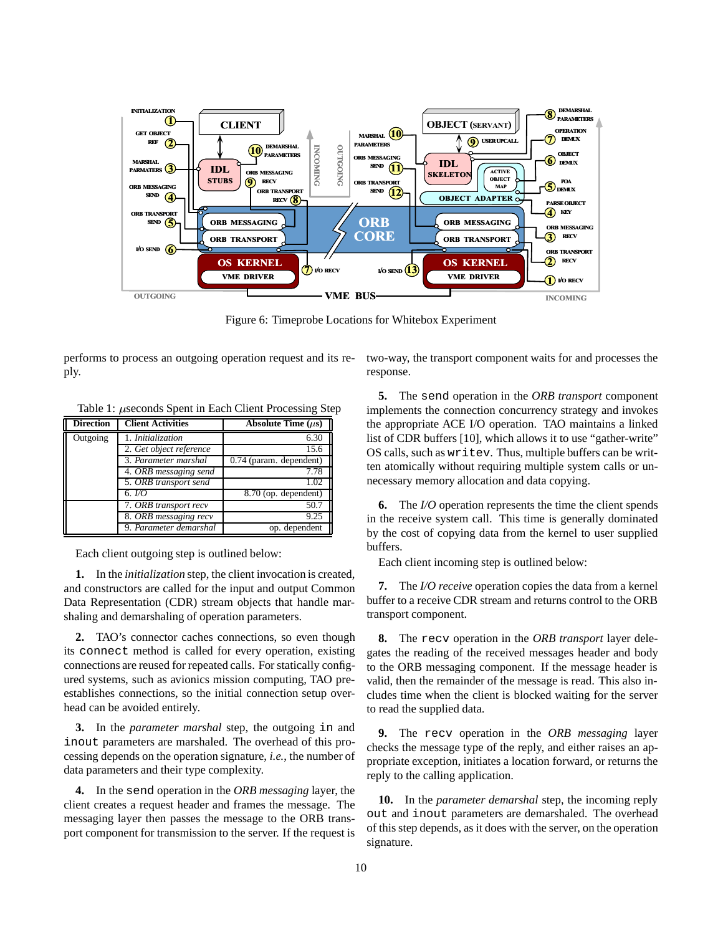

Figure 6: Timeprobe Locations for Whitebox Experiment

performs to process an outgoing operation request and its reply.

| Table 1: $\mu$ seconds Spent in Each Client Processing Step |  |  |  |  |
|-------------------------------------------------------------|--|--|--|--|
|-------------------------------------------------------------|--|--|--|--|

| <b>Direction</b> | <b>Client Activities</b> | Absolute Time $(\mu s)$ |
|------------------|--------------------------|-------------------------|
| Outgoing         | 1. Initialization        | 6.30                    |
|                  | 2. Get object reference  | 15.6                    |
|                  | 3. Parameter marshal     | 0.74 (param. dependent) |
|                  | 4. ORB messaging send    | 7.78                    |
|                  | 5. ORB transport send    | 1.02                    |
|                  | 6.~I/O                   | 8.70 (op. dependent)    |
|                  | 7. ORB transport recv    | 50.7                    |
|                  | 8. ORB messaging recv    | 9.25                    |
|                  | 9. Parameter demarshal   | op. dependent           |

Each client outgoing step is outlined below:

**1.** In the *initialization* step, the client invocation is created, and constructors are called for the input and output Common Data Representation (CDR) stream objects that handle marshaling and demarshaling of operation parameters.

**2.** TAO's connector caches connections, so even though its connect method is called for every operation, existing connections are reused for repeated calls. For statically configured systems, such as avionics mission computing, TAO preestablishes connections, so the initial connection setup overhead can be avoided entirely.

**3.** In the *parameter marshal* step, the outgoing in and inout parameters are marshaled. The overhead of this processing depends on the operation signature, *i.e.*, the number of data parameters and their type complexity.

**4.** In the send operation in the *ORB messaging* layer, the client creates a request header and frames the message. The messaging layer then passes the message to the ORB transport component for transmission to the server. If the request is two-way, the transport component waits for and processes the response.

**5.** The send operation in the *ORB transport* component implements the connection concurrency strategy and invokes the appropriate ACE I/O operation. TAO maintains a linked list of CDR buffers [10], which allows it to use "gather-write" OS calls, such as writev. Thus, multiple buffers can be written atomically without requiring multiple system calls or unnecessary memory allocation and data copying.

**6.** The *I/O* operation represents the time the client spends in the receive system call. This time is generally dominated by the cost of copying data from the kernel to user supplied buffers.

Each client incoming step is outlined below:

**7.** The *I/O receive* operation copies the data from a kernel buffer to a receive CDR stream and returns control to the ORB transport component.

**8.** The recv operation in the *ORB transport* layer delegates the reading of the received messages header and body to the ORB messaging component. If the message header is valid, then the remainder of the message is read. This also includes time when the client is blocked waiting for the server to read the supplied data.

**9.** The recv operation in the *ORB messaging* layer checks the message type of the reply, and either raises an appropriate exception, initiates a location forward, or returns the reply to the calling application.

**10.** In the *parameter demarshal* step, the incoming reply out and inout parameters are demarshaled. The overhead of this step depends, as it does with the server, on the operation signature.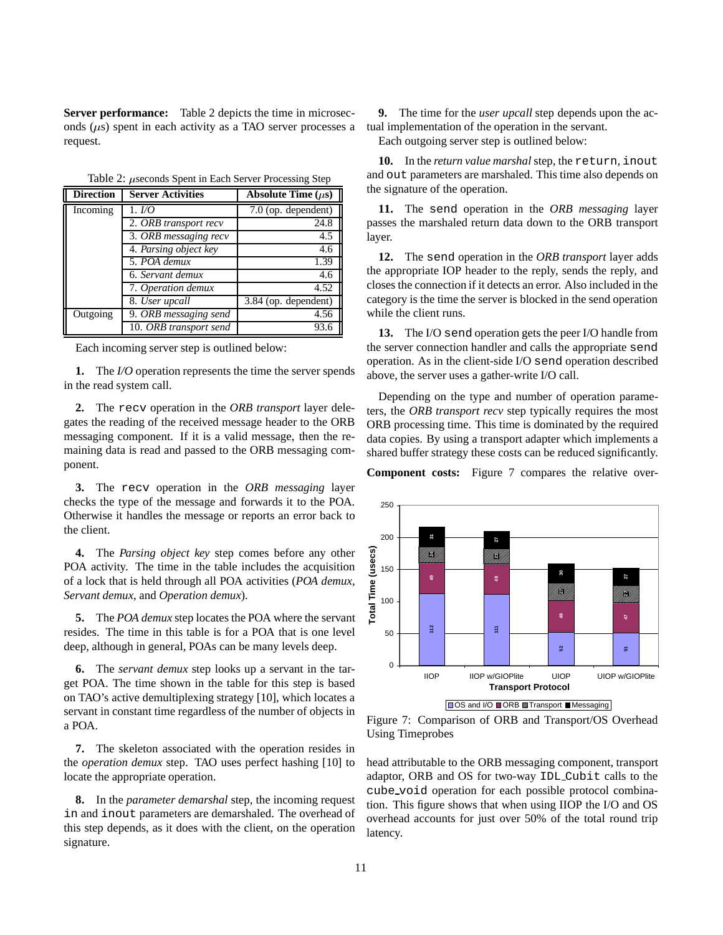**Server performance:** Table 2 depicts the time in microseconds  $(\mu s)$  spent in each activity as a TAO server processes a request.

| <b>Direction</b> | <b>Server Activities</b> | Absolute Time $(\mu s)$ |
|------------------|--------------------------|-------------------------|
| Incoming         | 1. I/O                   | $7.0$ (op. dependent)   |
|                  | 2. ORB transport recv    | 24.8                    |
|                  | 3. ORB messaging recv    | 4.5                     |
|                  | 4. Parsing object key    | 4.6                     |
|                  | 5. POA demux             | 1.39                    |
|                  | 6. Servant demux         | 4.6                     |
|                  | 7. Operation demux       | 4.52                    |
|                  | 8. User upcall           | $3.84$ (op. dependent)  |
| Outgoing         | 9. ORB messaging send    | 4.56                    |
|                  | 10. ORB transport send   | 93.6                    |

Table 2:  $\mu$  seconds Spent in Each Server Processing Step

Each incoming server step is outlined below:

**1.** The *I/O* operation represents the time the server spends in the read system call.

**2.** The recv operation in the *ORB transport* layer delegates the reading of the received message header to the ORB messaging component. If it is a valid message, then the remaining data is read and passed to the ORB messaging component.

**3.** The recv operation in the *ORB messaging* layer checks the type of the message and forwards it to the POA. Otherwise it handles the message or reports an error back to the client.

**4.** The *Parsing object key* step comes before any other POA activity. The time in the table includes the acquisition of a lock that is held through all POA activities (*POA demux*, *Servant demux*, and *Operation demux*).

**5.** The *POA demux* step locates the POA where the servant resides. The time in this table is for a POA that is one level deep, although in general, POAs can be many levels deep.

**6.** The *servant demux* step looks up a servant in the target POA. The time shown in the table for this step is based on TAO's active demultiplexing strategy [10], which locates a servant in constant time regardless of the number of objects in a POA.

**7.** The skeleton associated with the operation resides in the *operation demux* step. TAO uses perfect hashing [10] to locate the appropriate operation.

**8.** In the *parameter demarshal* step, the incoming request in and inout parameters are demarshaled. The overhead of this step depends, as it does with the client, on the operation signature.

**9.** The time for the *user upcall* step depends upon the actual implementation of the operation in the servant.

Each outgoing server step is outlined below:

**10.** In the *return value marshal* step, the return, inout and out parameters are marshaled. This time also depends on the signature of the operation.

**11.** The send operation in the *ORB messaging* layer passes the marshaled return data down to the ORB transport layer.

**12.** The send operation in the *ORB transport* layer adds the appropriate IOP header to the reply, sends the reply, and closes the connection if it detects an error. Also included in the category is the time the server is blocked in the send operation while the client runs.

**13.** The I/O send operation gets the peer I/O handle from the server connection handler and calls the appropriate send operation. As in the client-side I/O send operation described above, the server uses a gather-write I/O call.

Depending on the type and number of operation parameters, the *ORB transport recv* step typically requires the most ORB processing time. This time is dominated by the required data copies. By using a transport adapter which implements a shared buffer strategy these costs can be reduced significantly.

**Component costs:** Figure 7 compares the relative over-



**OS and I/O ORB ETransport Messaging** 

Figure 7: Comparison of ORB and Transport/OS Overhead Using Timeprobes

head attributable to the ORB messaging component, transport adaptor, ORB and OS for two-way IDL Cubit calls to the cube void operation for each possible protocol combination. This figure shows that when using IIOP the I/O and OS overhead accounts for just over 50% of the total round trip latency.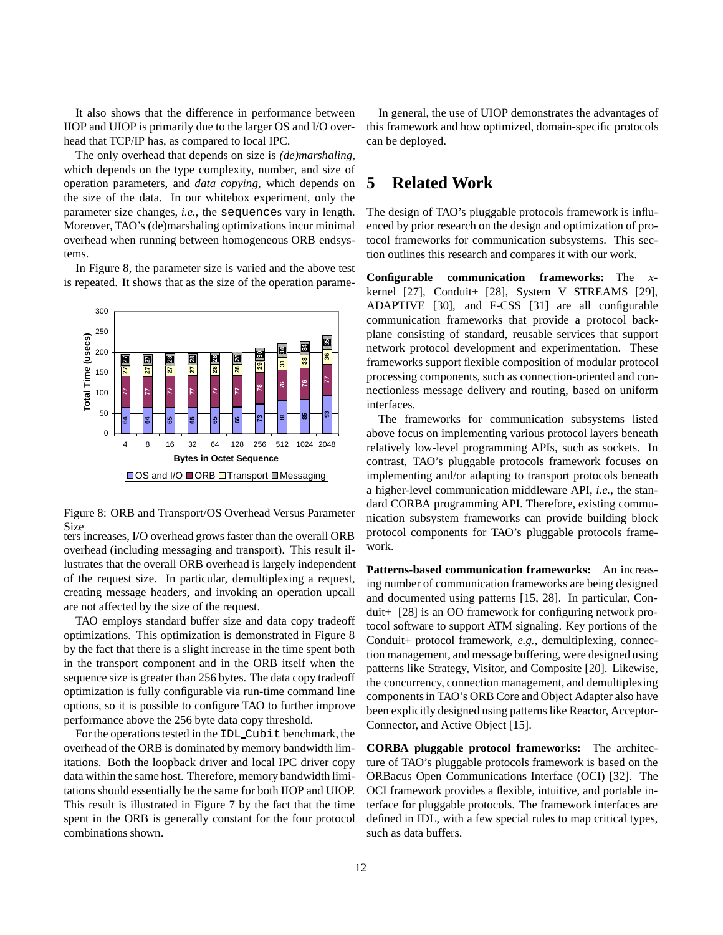It also shows that the difference in performance between IIOP and UIOP is primarily due to the larger OS and I/O overhead that TCP/IP has, as compared to local IPC.

The only overhead that depends on size is *(de)marshaling*, which depends on the type complexity, number, and size of operation parameters, and *data copying*, which depends on the size of the data. In our whitebox experiment, only the parameter size changes, *i.e.*, the sequences vary in length. Moreover, TAO's (de)marshaling optimizations incur minimal overhead when running between homogeneous ORB endsystems.

In Figure 8, the parameter size is varied and the above test is repeated. It shows that as the size of the operation parame-



Figure 8: ORB and Transport/OS Overhead Versus Parameter Size

ters increases, I/O overhead grows faster than the overall ORB overhead (including messaging and transport). This result illustrates that the overall ORB overhead is largely independent of the request size. In particular, demultiplexing a request, creating message headers, and invoking an operation upcall are not affected by the size of the request.

TAO employs standard buffer size and data copy tradeoff optimizations. This optimization is demonstrated in Figure 8 by the fact that there is a slight increase in the time spent both in the transport component and in the ORB itself when the sequence size is greater than 256 bytes. The data copy tradeoff optimization is fully configurable via run-time command line options, so it is possible to configure TAO to further improve performance above the 256 byte data copy threshold.

For the operations tested in the IDL Cubit benchmark, the overhead of the ORB is dominated by memory bandwidth limitations. Both the loopback driver and local IPC driver copy data within the same host. Therefore, memory bandwidth limitations should essentially be the same for both IIOP and UIOP. This result is illustrated in Figure 7 by the fact that the time spent in the ORB is generally constant for the four protocol combinations shown.

In general, the use of UIOP demonstrates the advantages of this framework and how optimized, domain-specific protocols can be deployed.

## **5 Related Work**

The design of TAO's pluggable protocols framework is influenced by prior research on the design and optimization of protocol frameworks for communication subsystems. This section outlines this research and compares it with our work.

**Configurable communication frameworks:** The *x*kernel [27], Conduit+ [28], System V STREAMS [29], ADAPTIVE [30], and F-CSS [31] are all configurable communication frameworks that provide a protocol backplane consisting of standard, reusable services that support network protocol development and experimentation. These frameworks support flexible composition of modular protocol processing components, such as connection-oriented and connectionless message delivery and routing, based on uniform interfaces.

The frameworks for communication subsystems listed above focus on implementing various protocol layers beneath relatively low-level programming APIs, such as sockets. In contrast, TAO's pluggable protocols framework focuses on implementing and/or adapting to transport protocols beneath a higher-level communication middleware API, *i.e.*, the standard CORBA programming API. Therefore, existing communication subsystem frameworks can provide building block protocol components for TAO's pluggable protocols framework.

**Patterns-based communication frameworks:** An increasing number of communication frameworks are being designed and documented using patterns [15, 28]. In particular, Conduit+ [28] is an OO framework for configuring network protocol software to support ATM signaling. Key portions of the Conduit+ protocol framework, *e.g.*, demultiplexing, connection management, and message buffering, were designed using patterns like Strategy, Visitor, and Composite [20]. Likewise, the concurrency, connection management, and demultiplexing components in TAO's ORB Core and Object Adapter also have been explicitly designed using patterns like Reactor, Acceptor-Connector, and Active Object [15].

**CORBA pluggable protocol frameworks:** The architecture of TAO's pluggable protocols framework is based on the ORBacus Open Communications Interface (OCI) [32]. The OCI framework provides a flexible, intuitive, and portable interface for pluggable protocols. The framework interfaces are defined in IDL, with a few special rules to map critical types, such as data buffers.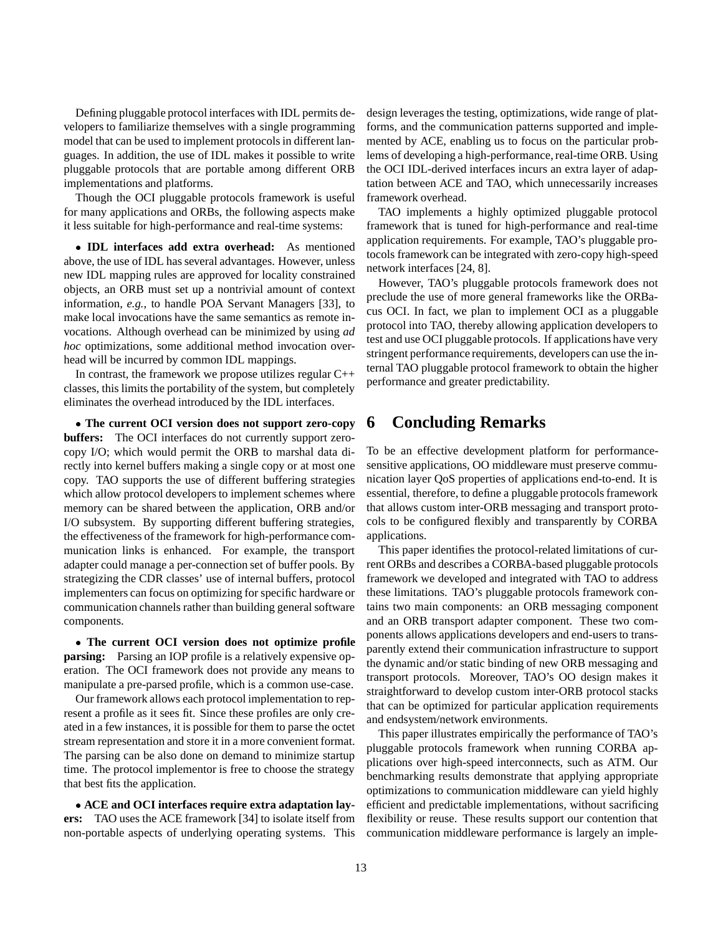Defining pluggable protocol interfaces with IDL permits developers to familiarize themselves with a single programming model that can be used to implement protocols in different languages. In addition, the use of IDL makes it possible to write pluggable protocols that are portable among different ORB implementations and platforms.

Though the OCI pluggable protocols framework is useful for many applications and ORBs, the following aspects make it less suitable for high-performance and real-time systems:

 **IDL interfaces add extra overhead:** As mentioned above, the use of IDL has several advantages. However, unless new IDL mapping rules are approved for locality constrained objects, an ORB must set up a nontrivial amount of context information, *e.g.*, to handle POA Servant Managers [33], to make local invocations have the same semantics as remote invocations. Although overhead can be minimized by using *ad hoc* optimizations, some additional method invocation overhead will be incurred by common IDL mappings.

In contrast, the framework we propose utilizes regular C++ classes, this limits the portability of the system, but completely eliminates the overhead introduced by the IDL interfaces.

 **The current OCI version does not support zero-copy buffers:** The OCI interfaces do not currently support zerocopy I/O; which would permit the ORB to marshal data directly into kernel buffers making a single copy or at most one copy. TAO supports the use of different buffering strategies which allow protocol developers to implement schemes where memory can be shared between the application, ORB and/or I/O subsystem. By supporting different buffering strategies, the effectiveness of the framework for high-performance communication links is enhanced. For example, the transport adapter could manage a per-connection set of buffer pools. By strategizing the CDR classes' use of internal buffers, protocol implementers can focus on optimizing for specific hardware or communication channels rather than building general software components.

 **The current OCI version does not optimize profile parsing:** Parsing an IOP profile is a relatively expensive operation. The OCI framework does not provide any means to manipulate a pre-parsed profile, which is a common use-case.

Our framework allows each protocol implementation to represent a profile as it sees fit. Since these profiles are only created in a few instances, it is possible for them to parse the octet stream representation and store it in a more convenient format. The parsing can be also done on demand to minimize startup time. The protocol implementor is free to choose the strategy that best fits the application.

 **ACE and OCI interfaces require extra adaptation layers:** TAO uses the ACE framework [34] to isolate itself from non-portable aspects of underlying operating systems. This design leverages the testing, optimizations, wide range of platforms, and the communication patterns supported and implemented by ACE, enabling us to focus on the particular problems of developing a high-performance, real-time ORB. Using the OCI IDL-derived interfaces incurs an extra layer of adaptation between ACE and TAO, which unnecessarily increases framework overhead.

TAO implements a highly optimized pluggable protocol framework that is tuned for high-performance and real-time application requirements. For example, TAO's pluggable protocols framework can be integrated with zero-copy high-speed network interfaces [24, 8].

However, TAO's pluggable protocols framework does not preclude the use of more general frameworks like the ORBacus OCI. In fact, we plan to implement OCI as a pluggable protocol into TAO, thereby allowing application developers to test and use OCI pluggable protocols. If applications have very stringent performance requirements, developers can use the internal TAO pluggable protocol framework to obtain the higher performance and greater predictability.

## **6 Concluding Remarks**

To be an effective development platform for performancesensitive applications, OO middleware must preserve communication layer QoS properties of applications end-to-end. It is essential, therefore, to define a pluggable protocols framework that allows custom inter-ORB messaging and transport protocols to be configured flexibly and transparently by CORBA applications.

This paper identifies the protocol-related limitations of current ORBs and describes a CORBA-based pluggable protocols framework we developed and integrated with TAO to address these limitations. TAO's pluggable protocols framework contains two main components: an ORB messaging component and an ORB transport adapter component. These two components allows applications developers and end-users to transparently extend their communication infrastructure to support the dynamic and/or static binding of new ORB messaging and transport protocols. Moreover, TAO's OO design makes it straightforward to develop custom inter-ORB protocol stacks that can be optimized for particular application requirements and endsystem/network environments.

This paper illustrates empirically the performance of TAO's pluggable protocols framework when running CORBA applications over high-speed interconnects, such as ATM. Our benchmarking results demonstrate that applying appropriate optimizations to communication middleware can yield highly efficient and predictable implementations, without sacrificing flexibility or reuse. These results support our contention that communication middleware performance is largely an imple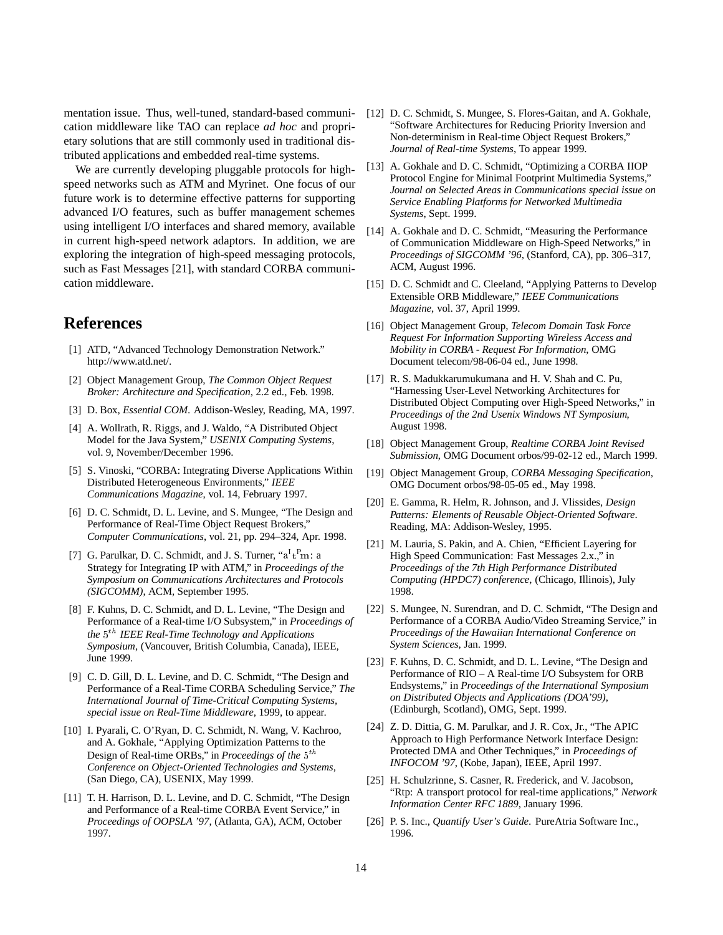mentation issue. Thus, well-tuned, standard-based communication middleware like TAO can replace *ad hoc* and proprietary solutions that are still commonly used in traditional distributed applications and embedded real-time systems.

We are currently developing pluggable protocols for highspeed networks such as ATM and Myrinet. One focus of our future work is to determine effective patterns for supporting advanced I/O features, such as buffer management schemes using intelligent I/O interfaces and shared memory, available in current high-speed network adaptors. In addition, we are exploring the integration of high-speed messaging protocols, such as Fast Messages [21], with standard CORBA communication middleware.

## **References**

- [1] ATD, "Advanced Technology Demonstration Network." http://www.atd.net/.
- [2] Object Management Group, *The Common Object Request Broker: Architecture and Specification*, 2.2 ed., Feb. 1998.
- [3] D. Box, *Essential COM*. Addison-Wesley, Reading, MA, 1997.
- [4] A. Wollrath, R. Riggs, and J. Waldo, "A Distributed Object Model for the Java System," *USENIX Computing Systems*, vol. 9, November/December 1996.
- [5] S. Vinoski, "CORBA: Integrating Diverse Applications Within Distributed Heterogeneous Environments," *IEEE Communications Magazine*, vol. 14, February 1997.
- [6] D. C. Schmidt, D. L. Levine, and S. Mungee, "The Design and Performance of Real-Time Object Request Brokers," *Computer Communications*, vol. 21, pp. 294–324, Apr. 1998.
- [7] G. Parulkar, D. C. Schmidt, and J. S. Turner, " $a^1t^Pm$ : a Strategy for Integrating IP with ATM," in *Proceedings of the Symposium on Communications Architectures and Protocols (SIGCOMM)*, ACM, September 1995.
- [8] F. Kuhns, D. C. Schmidt, and D. L. Levine, "The Design and Performance of a Real-time I/O Subsystem," in *Proceedings of the* <sup>5</sup> th *IEEE Real-Time Technology and Applications Symposium*, (Vancouver, British Columbia, Canada), IEEE, June 1999.
- [9] C. D. Gill, D. L. Levine, and D. C. Schmidt, "The Design and Performance of a Real-Time CORBA Scheduling Service," *The International Journal of Time-Critical Computing Systems, special issue on Real-Time Middleware*, 1999, to appear.
- [10] I. Pyarali, C. O'Ryan, D. C. Schmidt, N. Wang, V. Kachroo, and A. Gokhale, "Applying Optimization Patterns to the Design of Real-time ORBs," in *Proceedings of the*  $5^{th}$ *Conference on Object-Oriented Technologies and Systems*, (San Diego, CA), USENIX, May 1999.
- [11] T. H. Harrison, D. L. Levine, and D. C. Schmidt, "The Design and Performance of a Real-time CORBA Event Service," in *Proceedings of OOPSLA '97*, (Atlanta, GA), ACM, October 1997.
- [12] D. C. Schmidt, S. Mungee, S. Flores-Gaitan, and A. Gokhale, "Software Architectures for Reducing Priority Inversion and Non-determinism in Real-time Object Request Brokers," *Journal of Real-time Systems*, To appear 1999.
- [13] A. Gokhale and D. C. Schmidt, "Optimizing a CORBA IIOP Protocol Engine for Minimal Footprint Multimedia Systems," *Journal on Selected Areas in Communications special issue on Service Enabling Platforms for Networked Multimedia Systems*, Sept. 1999.
- [14] A. Gokhale and D. C. Schmidt, "Measuring the Performance" of Communication Middleware on High-Speed Networks," in *Proceedings of SIGCOMM '96*, (Stanford, CA), pp. 306–317, ACM, August 1996.
- [15] D. C. Schmidt and C. Cleeland, "Applying Patterns to Develop Extensible ORB Middleware," *IEEE Communications Magazine*, vol. 37, April 1999.
- [16] Object Management Group, *Telecom Domain Task Force Request For Information Supporting Wireless Access and Mobility in CORBA - Request For Information*, OMG Document telecom/98-06-04 ed., June 1998.
- [17] R. S. Madukkarumukumana and H. V. Shah and C. Pu, "Harnessing User-Level Networking Architectures for Distributed Object Computing over High-Speed Networks," in *Proceedings of the 2nd Usenix Windows NT Symposium*, August 1998.
- [18] Object Management Group, *Realtime CORBA Joint Revised Submission*, OMG Document orbos/99-02-12 ed., March 1999.
- [19] Object Management Group, *CORBA Messaging Specification*, OMG Document orbos/98-05-05 ed., May 1998.
- [20] E. Gamma, R. Helm, R. Johnson, and J. Vlissides, *Design Patterns: Elements of Reusable Object-Oriented Software*. Reading, MA: Addison-Wesley, 1995.
- [21] M. Lauria, S. Pakin, and A. Chien, "Efficient Layering for High Speed Communication: Fast Messages 2.x.," in *Proceedings of the 7th High Performance Distributed Computing (HPDC7) conference*, (Chicago, Illinois), July 1998.
- [22] S. Mungee, N. Surendran, and D. C. Schmidt, "The Design and Performance of a CORBA Audio/Video Streaming Service," in *Proceedings of the Hawaiian International Conference on System Sciences*, Jan. 1999.
- [23] F. Kuhns, D. C. Schmidt, and D. L. Levine, "The Design and Performance of RIO – A Real-time I/O Subsystem for ORB Endsystems," in *Proceedings of the International Symposium on Distributed Objects and Applications (DOA'99)*, (Edinburgh, Scotland), OMG, Sept. 1999.
- [24] Z. D. Dittia, G. M. Parulkar, and J. R. Cox, Jr., "The APIC Approach to High Performance Network Interface Design: Protected DMA and Other Techniques," in *Proceedings of INFOCOM '97*, (Kobe, Japan), IEEE, April 1997.
- [25] H. Schulzrinne, S. Casner, R. Frederick, and V. Jacobson, "Rtp: A transport protocol for real-time applications," *Network Information Center RFC 1889*, January 1996.
- [26] P. S. Inc., *Quantify User's Guide*. PureAtria Software Inc., 1996.